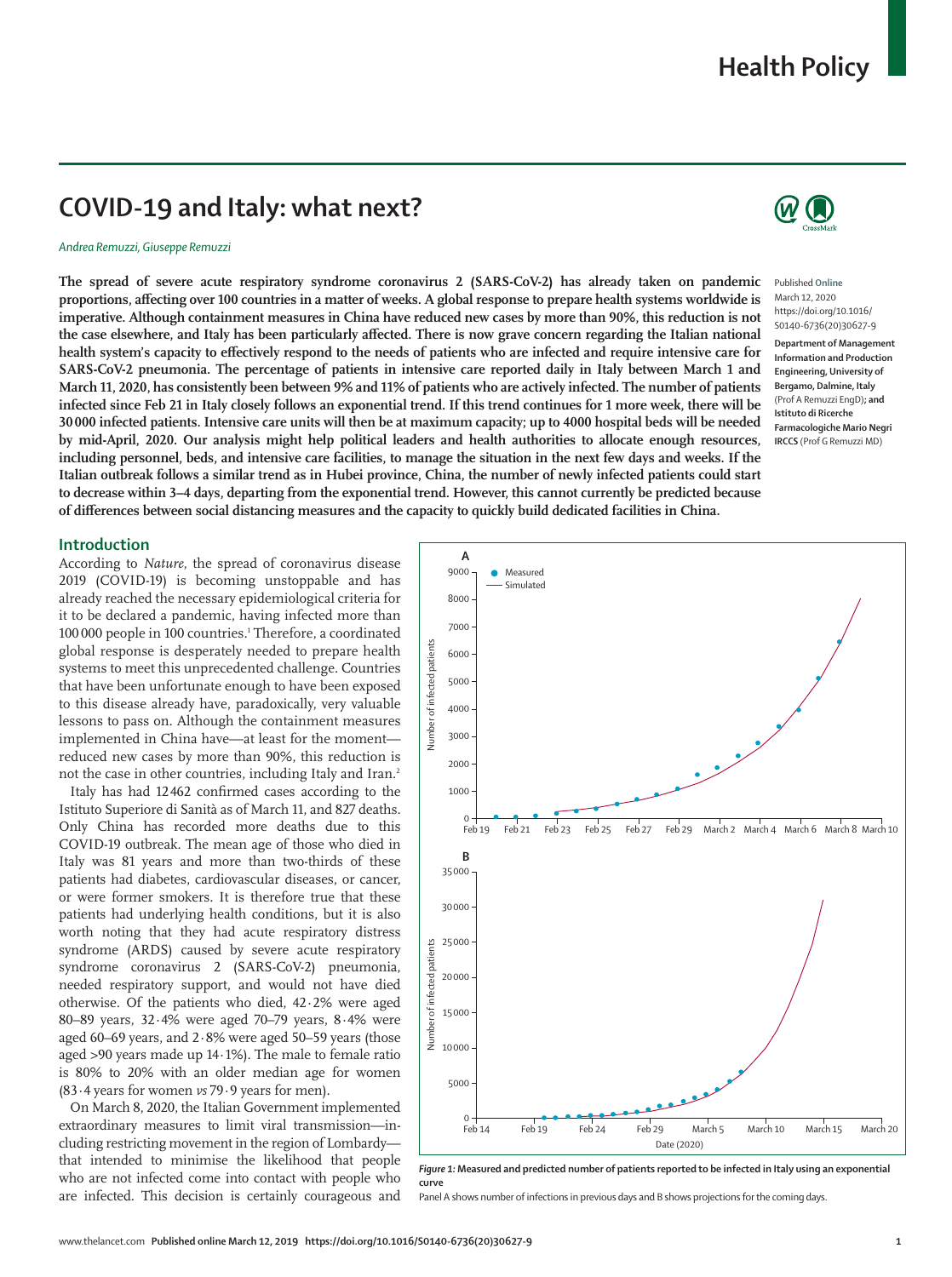# **COVID-19 and Italy: what next?**

#### *Andrea Remuzzi, Giuseppe Remuzzi*

**The spread of severe acute respiratory syndrome coronavirus 2 (SARS-CoV-2) has already taken on pandemic proportions, affecting over 100 countries in a matter of weeks. A global response to prepare health systems worldwide is imperative. Although containment measures in China have reduced new cases by more than 90%, this reduction is not the case elsewhere, and Italy has been particularly affected. There is now grave concern regarding the Italian national health system's capacity to effectively respond to the needs of patients who are infected and require intensive care for SARS-CoV-2 pneumonia. The percentage of patients in intensive care reported daily in Italy between March 1 and March 11, 2020, has consistently been between 9% and 11% of patients who are actively infected. The number of patients infected since Feb 21 in Italy closely follows an exponential trend. If this trend continues for 1 more week, there will be 30000 infected patients. Intensive care units will then be at maximum capacity; up to 4000 hospital beds will be needed by mid-April, 2020. Our analysis might help political leaders and health authorities to allocate enough resources, including personnel, beds, and intensive care facilities, to manage the situation in the next few days and weeks. If the Italian outbreak follows a similar trend as in Hubei province, China, the number of newly infected patients could start to decrease within 3–4 days, departing from the exponential trend. However, this cannot currently be predicted because of differences between social distancing measures and the capacity to quickly build dedicated facilities in China.**



Published **Online** March 12, 2020 https://doi.org/10.1016/ S0140-6736(20)30627-9

**Department of Management Information and Production Engineering, University of Bergamo, Dalmine, Italy** (Prof A Remuzzi EngD)**; and Istituto di Ricerche Farmacologiche Mario Negri IRCCS** (Prof G Remuzzi MD)

## **Introduction**

According to *Nature*, the spread of coronavirus disease 2019 (COVID-19) is becoming unstoppable and has already reached the necessary epidemiological criteria for it to be declared a pandemic, having infected more than 100 000 people in 100 countries.<sup>1</sup> Therefore, a coordinated global response is desperately needed to prepare health systems to meet this unprecedented challenge. Countries that have been unfortunate enough to have been exposed to this disease already have, paradoxically, very valuable lessons to pass on. Although the containment measures implemented in China have—at least for the moment reduced new cases by more than 90%, this reduction is not the case in other countries, including Italy and Iran.2

Italy has had 12462 confirmed cases according to the Istituto Superiore di Sanità as of March 11, and 827 deaths. Only China has recorded more deaths due to this COVID-19 outbreak. The mean age of those who died in Italy was 81 years and more than two-thirds of these patients had diabetes, cardiovascular diseases, or cancer, or were former smokers. It is therefore true that these patients had underlying health conditions, but it is also worth noting that they had acute respiratory distress syndrome (ARDS) caused by severe acute respiratory syndrome coronavirus 2 (SARS-CoV-2) pneumonia, needed respiratory support, and would not have died otherwise. Of the patients who died, 42·2% were aged 80–89 years, 32·4% were aged 70–79 years, 8·4% were aged 60–69 years, and 2·8% were aged 50–59 years (those aged >90 years made up 14·1%). The male to female ratio is 80% to 20% with an older median age for women (83·4 years for women *vs* 79·9 years for men).

On March 8, 2020, the Italian Government implemented extraordinary measures to limit viral transmission—including restricting movement in the region of Lombardy that intended to minimise the likelihood that people who are not infected come into contact with people who are infected. This decision is certainly courageous and



*Figure 1:* **Measured and predicted number of patients reported to be infected in Italy using an exponential curve**

Panel A shows number of infections in previous days and B shows projections for the coming days.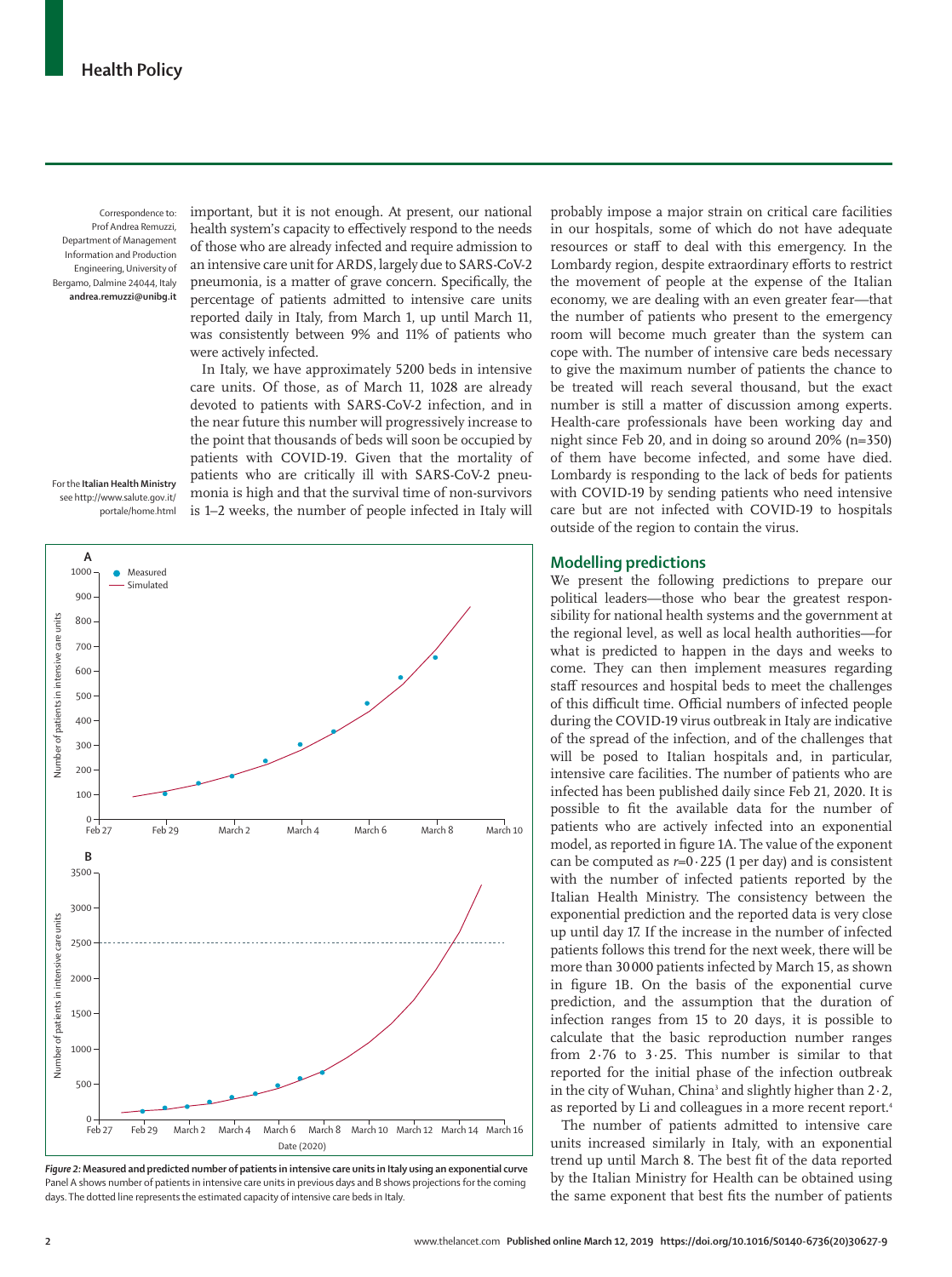Correspondence to: Prof Andrea Remuzzi, Department of Management Information and Production Engineering, University of Bergamo, Dalmine 24044, Italy **andrea.remuzzi@unibg.it**

important, but it is not enough. At present, our national health system's capacity to effectively respond to the needs of those who are already infected and require admission to an intensive care unit for ARDS, largely due to SARS-CoV-2 pneumonia, is a matter of grave concern. Specifically, the percentage of patients admitted to intensive care units reported daily in Italy, from March 1, up until March 11, was consistently between 9% and 11% of patients who were actively infected.

In Italy, we have approximately 5200 beds in intensive care units. Of those, as of March 11, 1028 are already devoted to patients with SARS-CoV-2 infection, and in the near future this number will progressively increase to the point that thousands of beds will soon be occupied by patients with COVID-19. Given that the mortality of patients who are critically ill with SARS-CoV-2 pneumonia is high and that the survival time of non-survivors is 1–2 weeks, the number of people infected in Italy will

For the **Italian Health Ministry** see [http://www.salute.gov.it/](http://www.salute.gov.it/portale/home.html) [portale/home.html](http://www.salute.gov.it/portale/home.html)



*Figure 2:* **Measured and predicted number of patients in intensive care units in Italy using an exponential curve** Panel A shows number of patients in intensive care units in previous days and B shows projections for the coming days. The dotted line represents the estimated capacity of intensive care beds in Italy.

probably impose a major strain on critical care facilities in our hospitals, some of which do not have adequate resources or staff to deal with this emergency. In the Lombardy region, despite extraordinary efforts to restrict the movement of people at the expense of the Italian economy, we are dealing with an even greater fear—that the number of patients who present to the emergency room will become much greater than the system can cope with. The number of intensive care beds necessary to give the maximum number of patients the chance to be treated will reach several thousand, but the exact number is still a matter of discussion among experts. Health-care professionals have been working day and night since Feb 20, and in doing so around 20% (n=350) of them have become infected, and some have died. Lombardy is responding to the lack of beds for patients with COVID-19 by sending patients who need intensive care but are not infected with COVID-19 to hospitals outside of the region to contain the virus.

# **Modelling predictions**

We present the following predictions to prepare our political leaders—those who bear the greatest responsibility for national health systems and the government at the regional level, as well as local health authorities—for what is predicted to happen in the days and weeks to come. They can then implement measures regarding staff resources and hospital beds to meet the challenges of this difficult time. Official numbers of infected people during the COVID-19 virus outbreak in Italy are indicative of the spread of the infection, and of the challenges that will be posed to Italian hospitals and, in particular, intensive care facilities. The number of patients who are infected has been published daily since Feb 21, 2020. It is possible to fit the available data for the number of patients who are actively infected into an exponential model, as reported in figure 1A. The value of the exponent can be computed as  $r=0.225$  (1 per day) and is consistent with the number of infected patients reported by the [Italian Health Ministry](http://www.salute.gov.it/portale/home.html). The consistency between the exponential prediction and the reported data is very close up until day 17. If the increase in the number of infected patients follows this trend for the next week, there will be more than 30 000 patients infected by March 15, as shown in figure 1B. On the basis of the exponential curve prediction, and the assumption that the duration of infection ranges from 15 to 20 days, it is possible to calculate that the basic reproduction number ranges from 2·76 to 3·25. This number is similar to that reported for the initial phase of the infection outbreak in the city of Wuhan, China<sup>3</sup> and slightly higher than  $2 \cdot 2$ , as reported by Li and colleagues in a more recent report.<sup>4</sup>

The number of patients admitted to intensive care units increased similarly in Italy, with an exponential trend up until March 8. The best fit of the data reported by the Italian Ministry for Health can be obtained using the same exponent that best fits the number of patients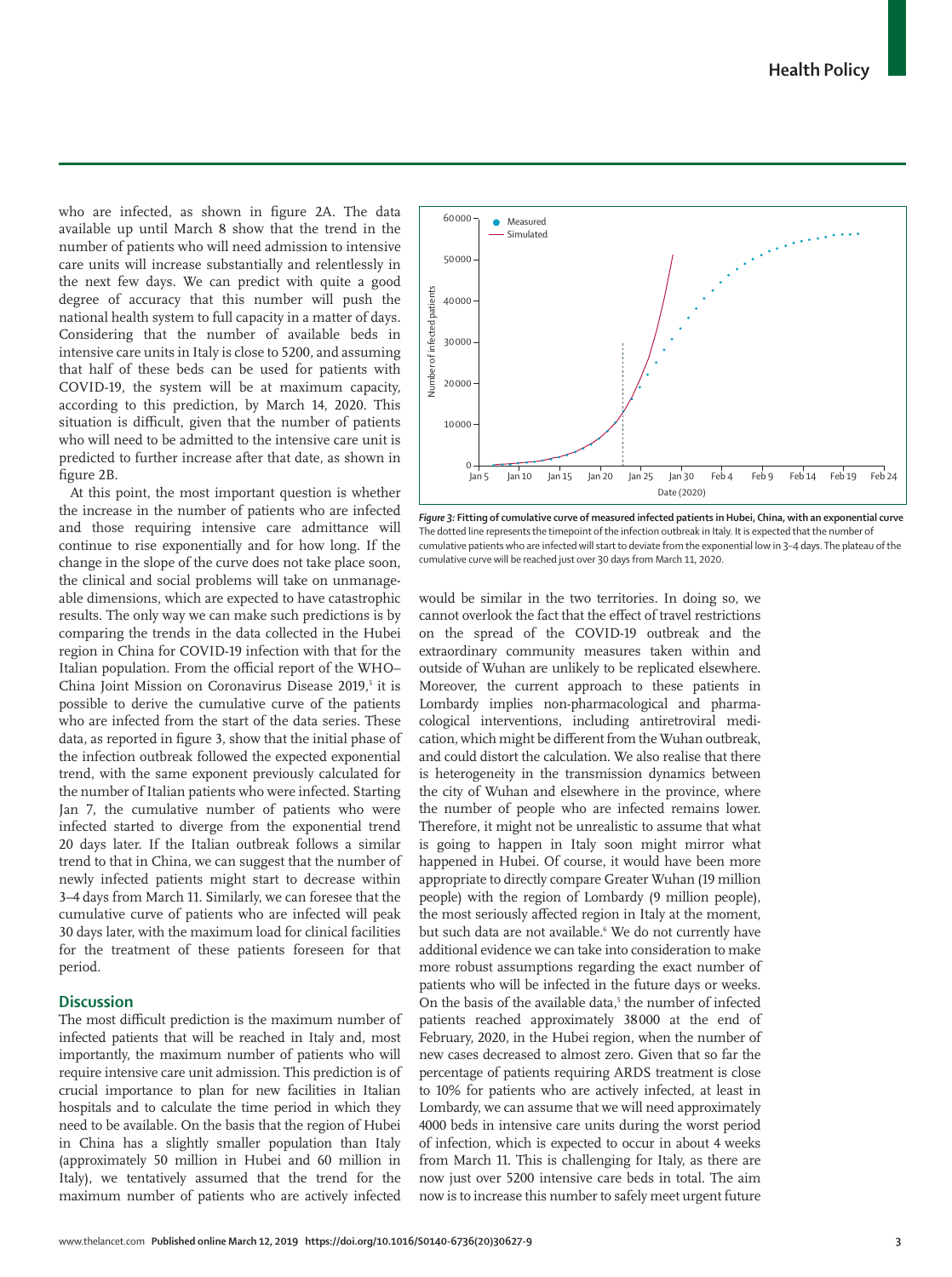**Health Policy**

who are infected, as shown in figure 2A. The data available up until March 8 show that the trend in the number of patients who will need admission to intensive care units will increase substantially and relentlessly in the next few days. We can predict with quite a good degree of accuracy that this number will push the national health system to full capacity in a matter of days. Considering that the number of available beds in intensive care units in Italy is close to 5200, and assuming that half of these beds can be used for patients with COVID-19, the system will be at maximum capacity, according to this prediction, by March 14, 2020. This situation is difficult, given that the number of patients who will need to be admitted to the intensive care unit is predicted to further increase after that date, as shown in figure 2B.

At this point, the most important question is whether the increase in the number of patients who are infected and those requiring intensive care admittance will continue to rise exponentially and for how long. If the change in the slope of the curve does not take place soon, the clinical and social problems will take on unmanageable dimensions, which are expected to have catastrophic results. The only way we can make such predictions is by comparing the trends in the data collected in the Hubei region in China for COVID-19 infection with that for the Italian population. From the official report of the WHO– China Joint Mission on Coronavirus Disease 2019,<sup>5</sup> it is possible to derive the cumulative curve of the patients who are infected from the start of the data series. These data, as reported in figure 3, show that the initial phase of the infection outbreak followed the expected exponential trend, with the same exponent previously calculated for the number of Italian patients who were infected. Starting Jan 7, the cumulative number of patients who were infected started to diverge from the exponential trend 20 days later. If the Italian outbreak follows a similar trend to that in China, we can suggest that the number of newly infected patients might start to decrease within 3–4 days from March 11. Similarly, we can foresee that the cumulative curve of patients who are infected will peak 30 days later, with the maximum load for clinical facilities for the treatment of these patients foreseen for that period.

# **Discussion**

The most difficult prediction is the maximum number of infected patients that will be reached in Italy and, most importantly, the maximum number of patients who will require intensive care unit admission. This prediction is of crucial importance to plan for new facilities in Italian hospitals and to calculate the time period in which they need to be available. On the basis that the region of Hubei in China has a slightly smaller population than Italy (approximately 50 million in Hubei and 60 million in Italy), we tentatively assumed that the trend for the maximum number of patients who are actively infected



*Figure 3:* **Fitting of cumulative curve of measured infected patients in Hubei, China, with an exponential curve** The dotted line represents the timepoint of the infection outbreak in Italy. It is expected that the number of cumulative patients who are infected will start to deviate from the exponential low in 3–4 days. The plateau of the cumulative curve will be reached just over 30 days from March 11, 2020.

would be similar in the two territories. In doing so, we cannot overlook the fact that the effect of travel restrictions on the spread of the COVID-19 outbreak and the extraordinary community measures taken within and outside of Wuhan are unlikely to be replicated elsewhere. Moreover, the current approach to these patients in Lombardy implies non-pharmacological and pharmacological interventions, including antiretroviral medication, which might be different from the Wuhan outbreak, and could distort the calculation. We also realise that there is heterogeneity in the transmission dynamics between the city of Wuhan and elsewhere in the province, where the number of people who are infected remains lower. Therefore, it might not be unrealistic to assume that what is going to happen in Italy soon might mirror what happened in Hubei. Of course, it would have been more appropriate to directly compare Greater Wuhan (19 million people) with the region of Lombardy (9 million people), the most seriously affected region in Italy at the moment, but such data are not available.<sup>6</sup> We do not currently have additional evidence we can take into consideration to make more robust assumptions regarding the exact number of patients who will be infected in the future days or weeks. On the basis of the available data, 5 the number of infected patients reached approximately 38000 at the end of February, 2020, in the Hubei region, when the number of new cases decreased to almost zero. Given that so far the percentage of patients requiring ARDS treatment is close to 10% for patients who are actively infected, at least in Lombardy, we can assume that we will need approximately 4000 beds in intensive care units during the worst period of infection, which is expected to occur in about 4 weeks from March 11. This is challenging for Italy, as there are now just over 5200 intensive care beds in total. The aim now is to increase this number to safely meet urgent future